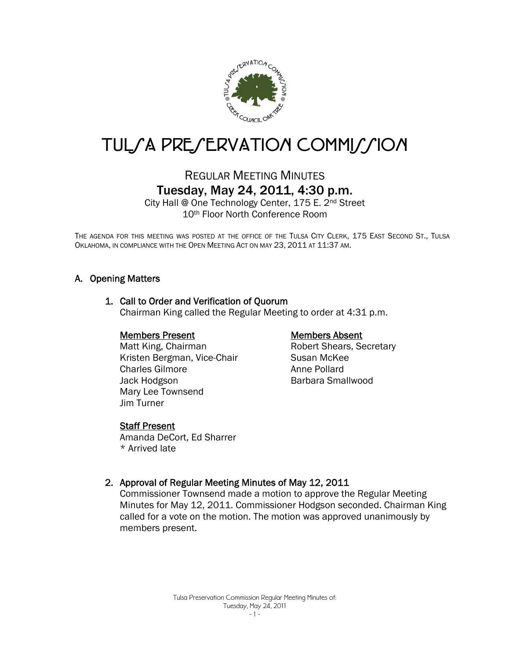

# TUL/A PRE/ERVATION COMMI//ION

# REGULAR MEETING MINUTES Tuesday, May 24, 2011, 4:30 p.m.

City Hall @ One Technology Center, 175 E. 2nd Street 10th Floor North Conference Room

THE AGENDA FOR THIS MEETING WAS POSTED AT THE OFFICE OF THE TULSA CITY CLERK, 175 EAST SECOND ST., TULSA OKLAHOMA, IN COMPLIANCE WITH THE OPEN MEETING ACT ON MAY 23, 2011 AT 11:37 AM.

## A. Opening Matters

#### 1. Call to Order and Verification of Quorum

Chairman King called the Regular Meeting to order at 4:31 p.m.

#### Members Present

 Matt King, Chairman Kristen Bergman, Vice-Chair Charles Gilmore Jack Hodgson Mary Lee Townsend Jim Turner

#### **Staff Present**

Amanda DeCort, Ed Sharrer \* Arrived late

#### Members Absent

Robert Shears, Secretary Susan McKee Anne Pollard Barbara Smallwood

## 2. Approval of Regular Meeting Minutes of May 12, 2011

Commissioner Townsend made a motion to approve the Regular Meeting Minutes for May 12, 2011. Commissioner Hodgson seconded. Chairman King called for a vote on the motion. The motion was approved unanimously by members present.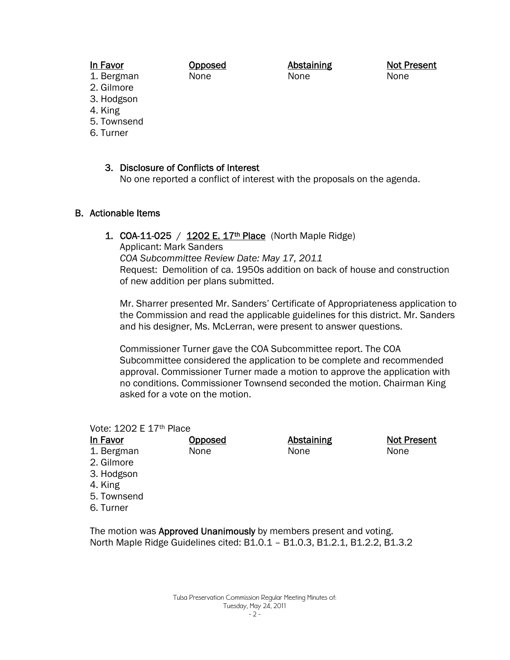#### In Favor

Opposed None

Abstaining None

Not Present None

2. Gilmore

1. Bergman

- 3. Hodgson 4. King
- 5. Townsend
- 6. Turner

## 3. Disclosure of Conflicts of Interest

No one reported a conflict of interest with the proposals on the agenda.

## B. Actionable Items

## 1. COA-11-025 /  $1202$  E. 17<sup>th</sup> Place (North Maple Ridge)

Applicant: Mark Sanders

*COA Subcommittee Review Date: May 17, 2011*  Request: Demolition of ca. 1950s addition on back of house and construction of new addition per plans submitted.

Mr. Sharrer presented Mr. Sanders' Certificate of Appropriateness application to the Commission and read the applicable guidelines for this district. Mr. Sanders and his designer, Ms. McLerran, were present to answer questions.

Commissioner Turner gave the COA Subcommittee report. The COA Subcommittee considered the application to be complete and recommended approval. Commissioner Turner made a motion to approve the application with no conditions. Commissioner Townsend seconded the motion. Chairman King asked for a vote on the motion.

#### Vote: 1202 E 17th Place

| <b>In Favor</b>                                                               | <b>Opposed</b> | <b>Abstaining</b> | <b>Not Present</b> |
|-------------------------------------------------------------------------------|----------------|-------------------|--------------------|
| 1. Bergman<br>2. Gilmore<br>3. Hodgson<br>4. King<br>5. Townsend<br>6. Turner | None           | None              | None               |
|                                                                               |                |                   |                    |

The motion was Approved Unanimously by members present and voting. North Maple Ridge Guidelines cited: B1.0.1 – B1.0.3, B1.2.1, B1.2.2, B1.3.2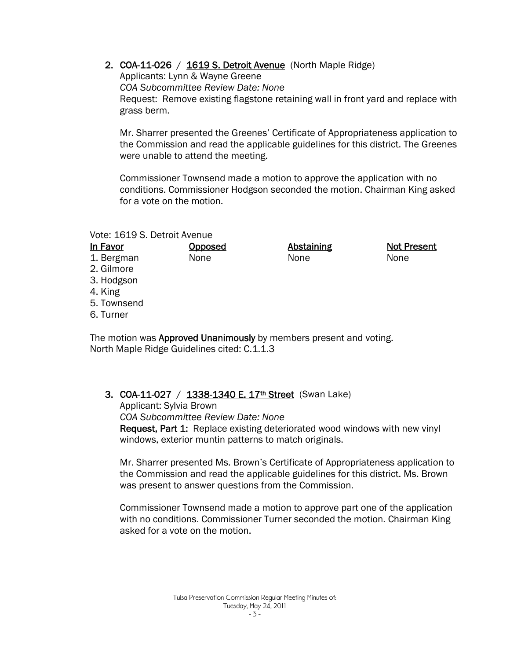2. COA-11-026 / 1619 S. Detroit Avenue (North Maple Ridge)

Applicants: Lynn & Wayne Greene *COA Subcommittee Review Date: None*  Request: Remove existing flagstone retaining wall in front yard and replace with grass berm.

Mr. Sharrer presented the Greenes' Certificate of Appropriateness application to the Commission and read the applicable guidelines for this district. The Greenes were unable to attend the meeting.

Commissioner Townsend made a motion to approve the application with no conditions. Commissioner Hodgson seconded the motion. Chairman King asked for a vote on the motion.

> Abstaining None

Not Present

None

#### Vote: 1619 S. Detroit Avenue

In Favor

#### Opposed None

1. Bergman 2. Gilmore

- 3. Hodgson
- 
- 4. King

5. Townsend

6. Turner

The motion was **Approved Unanimously** by members present and voting. North Maple Ridge Guidelines cited: C.1.1.3

## 3. COA-11-027 / 1338-1340 E. 17<sup>th</sup> Street (Swan Lake)

Applicant: Sylvia Brown *COA Subcommittee Review Date: None*  Request, Part 1: Replace existing deteriorated wood windows with new vinyl windows, exterior muntin patterns to match originals.

Mr. Sharrer presented Ms. Brown's Certificate of Appropriateness application to the Commission and read the applicable guidelines for this district. Ms. Brown was present to answer questions from the Commission.

Commissioner Townsend made a motion to approve part one of the application with no conditions. Commissioner Turner seconded the motion. Chairman King asked for a vote on the motion.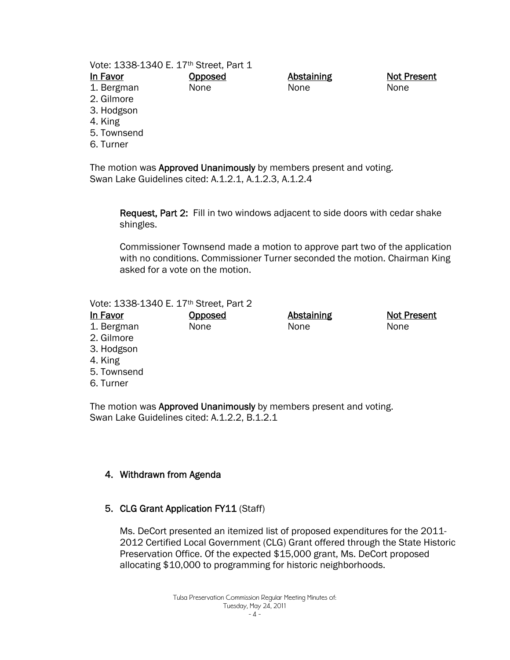#### Vote: 1338-1340 E. 17th Street, Part 1

**Opposed** None

|                          | In Favor |  |
|--------------------------|----------|--|
| $\overline{\phantom{a}}$ | - -      |  |

- 1. Bergman
- 2. Gilmore
- 3. Hodgson
- 4. King
- 5. Townsend
- 6. Turner

The motion was Approved Unanimously by members present and voting. Swan Lake Guidelines cited: A.1.2.1, A.1.2.3, A.1.2.4

Request, Part 2: Fill in two windows adjacent to side doors with cedar shake shingles.

Abstaining None

Commissioner Townsend made a motion to approve part two of the application with no conditions. Commissioner Turner seconded the motion. Chairman King asked for a vote on the motion.

#### Vote: 1338-1340 E. 17th Street, Part 2

In Favor 1. Bergman 2. Gilmore 3. Hodgson 4. King **Opposed** None **Abstaining** None Not Present None

- 5. Townsend
- 6. Turner

The motion was **Approved Unanimously** by members present and voting. Swan Lake Guidelines cited: A.1.2.2, B.1.2.1

## 4. Withdrawn from Agenda

## 5. CLG Grant Application FY11 (Staff)

Ms. DeCort presented an itemized list of proposed expenditures for the 2011- 2012 Certified Local Government (CLG) Grant offered through the State Historic Preservation Office. Of the expected \$15,000 grant, Ms. DeCort proposed allocating \$10,000 to programming for historic neighborhoods.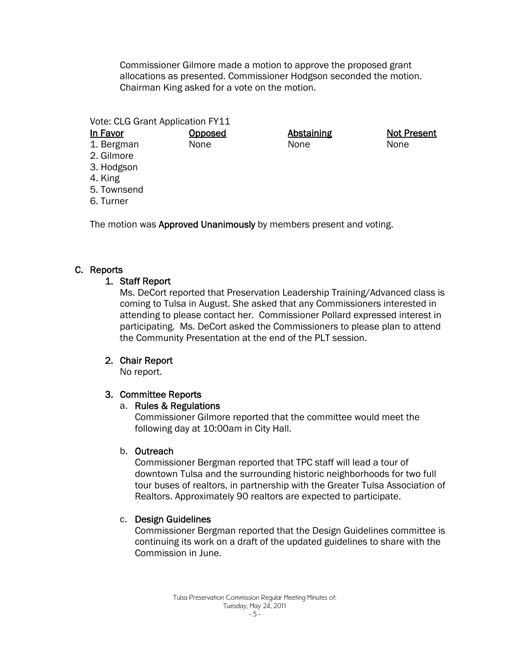Commissioner Gilmore made a motion to approve the proposed grant allocations as presented. Commissioner Hodgson seconded the motion. Chairman King asked for a vote on the motion.

Vote: CLG Grant Application FY11

**Opposed** None

Abstaining None

Not Present None

- 1. Bergman 2. Gilmore
- 3. Hodgson
- 4. King

In Favor

- 5. Townsend
- 6. Turner

The motion was Approved Unanimously by members present and voting.

# C. Reports

# 1. Staff Report

Ms. DeCort reported that Preservation Leadership Training/Advanced class is coming to Tulsa in August. She asked that any Commissioners interested in attending to please contact her. Commissioner Pollard expressed interest in participating. Ms. DeCort asked the Commissioners to please plan to attend the Community Presentation at the end of the PLT session.

# 2. Chair Report

No report.

# 3. Committee Reports

# a. Rules & Regulations

Commissioner Gilmore reported that the committee would meet the following day at 10:00am in City Hall.

## b. Outreach

Commissioner Bergman reported that TPC staff will lead a tour of downtown Tulsa and the surrounding historic neighborhoods for two full tour buses of realtors, in partnership with the Greater Tulsa Association of Realtors. Approximately 90 realtors are expected to participate.

# c. Design Guidelines

Commissioner Bergman reported that the Design Guidelines committee is continuing its work on a draft of the updated guidelines to share with the Commission in June.